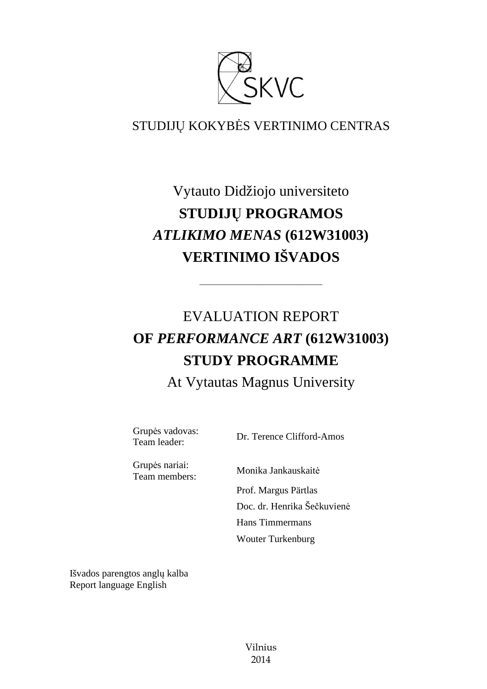

## STUDIJŲ KOKYBĖS VERTINIMO CENTRAS

## Vytauto Didžiojo universiteto **STUDIJŲ PROGRAMOS**  *ATLIKIMO MENAS* **(612W31003) VERTINIMO IŠVADOS**

# EVALUATION REPORT **OF** *PERFORMANCE ART* **(612W31003) STUDY PROGRAMME**

––––––––––––––––––––––––––––––

At Vytautas Magnus University

Grupės vadovas:

Supervisory of the United States Clifford-Amos<br>Team leader: Dr. Terence Clifford-Amos

Grupės nariai:

Team members: Monika Jankauskait<sup>ė</sup> Prof. Margus Pärtlas Doc. dr. Henrika Šečkuvienė Hans Timmermans Wouter Turkenburg

Išvados parengtos anglų kalba Report language English

> Vilnius 2014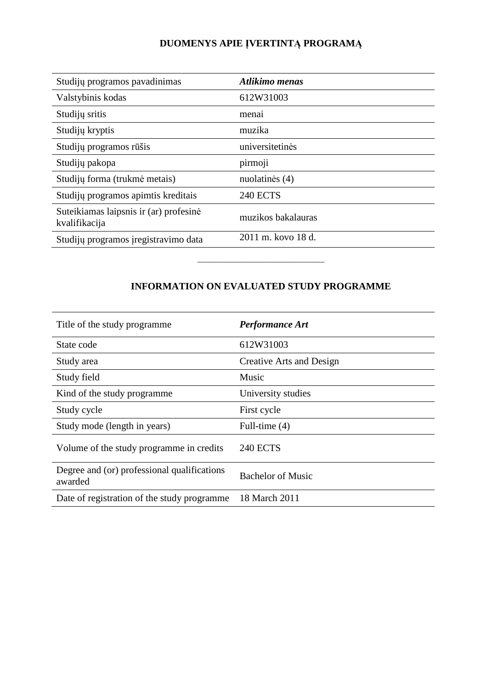## **DUOMENYS APIE ĮVERTINTĄ PROGRAMĄ**

| Studijų programos pavadinimas                           | Atlikimo menas     |
|---------------------------------------------------------|--------------------|
| Valstybinis kodas                                       | 612W31003          |
| Studijų sritis                                          | menai              |
| Studijų kryptis                                         | muzika             |
| Studijų programos rūšis                                 | universitetinės    |
| Studijų pakopa                                          | pirmoji            |
| Studijų forma (trukmė metais)                           | nuolatinės (4)     |
| Studijų programos apimtis kreditais                     | <b>240 ECTS</b>    |
| Suteikiamas laipsnis ir (ar) profesinė<br>kvalifikacija | muzikos bakalauras |
| Studijų programos įregistravimo data                    | 2011 m. kovo 18 d. |

### **INFORMATION ON EVALUATED STUDY PROGRAMME**

–––––––––––––––––––––––––––––––

| Title of the study programme.                          | <b>Performance Art</b>   |
|--------------------------------------------------------|--------------------------|
| State code                                             | 612W31003                |
| Study area                                             | Creative Arts and Design |
| Study field                                            | Music                    |
| Kind of the study programme.                           | University studies       |
| Study cycle                                            | First cycle              |
| Study mode (length in years)                           | Full-time $(4)$          |
| Volume of the study programme in credits               | <b>240 ECTS</b>          |
| Degree and (or) professional qualifications<br>awarded | <b>Bachelor of Music</b> |
| Date of registration of the study programme            | 18 March 2011            |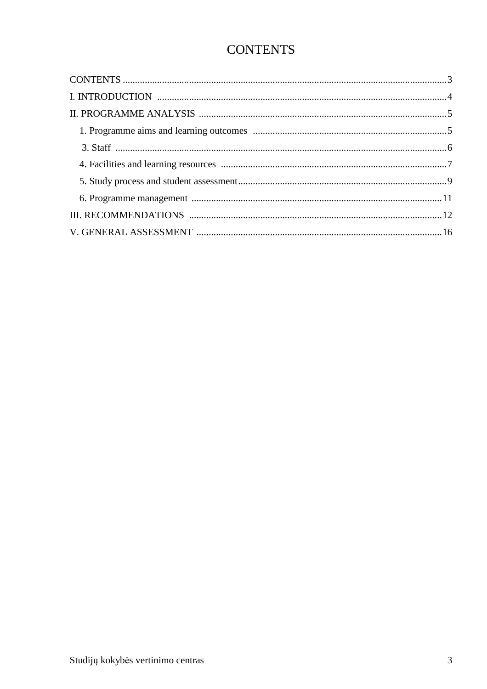## **CONTENTS**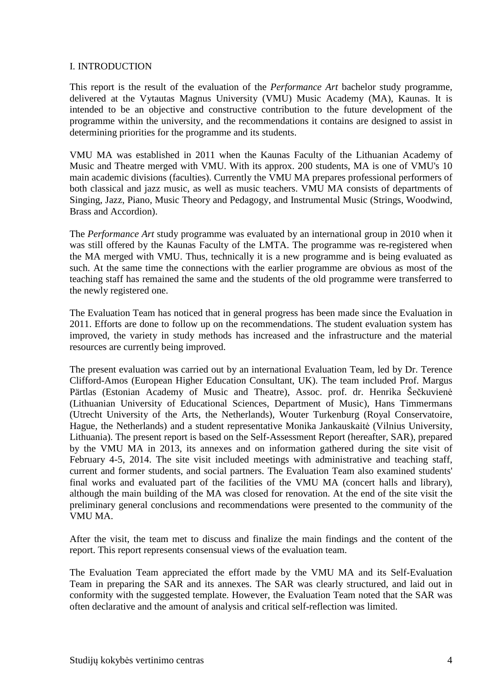#### I. INTRODUCTION

This report is the result of the evaluation of the *Performance Art* bachelor study programme, delivered at the Vytautas Magnus University (VMU) Music Academy (MA), Kaunas. It is intended to be an objective and constructive contribution to the future development of the programme within the university, and the recommendations it contains are designed to assist in determining priorities for the programme and its students.

VMU MA was established in 2011 when the Kaunas Faculty of the Lithuanian Academy of Music and Theatre merged with VMU. With its approx. 200 students, MA is one of VMU's 10 main academic divisions (faculties). Currently the VMU MA prepares professional performers of both classical and jazz music, as well as music teachers. VMU MA consists of departments of Singing, Jazz, Piano, Music Theory and Pedagogy, and Instrumental Music (Strings, Woodwind, Brass and Accordion).

The *Performance Art* study programme was evaluated by an international group in 2010 when it was still offered by the Kaunas Faculty of the LMTA. The programme was re-registered when the MA merged with VMU. Thus, technically it is a new programme and is being evaluated as such. At the same time the connections with the earlier programme are obvious as most of the teaching staff has remained the same and the students of the old programme were transferred to the newly registered one.

The Evaluation Team has noticed that in general progress has been made since the Evaluation in 2011. Efforts are done to follow up on the recommendations. The student evaluation system has improved, the variety in study methods has increased and the infrastructure and the material resources are currently being improved.

The present evaluation was carried out by an international Evaluation Team, led by Dr. Terence Clifford-Amos (European Higher Education Consultant, UK). The team included Prof. Margus Pärtlas (Estonian Academy of Music and Theatre), Assoc. prof. dr. Henrika Šečkuvienė (Lithuanian University of Educational Sciences, Department of Music), Hans Timmermans (Utrecht University of the Arts, the Netherlands), Wouter Turkenburg (Royal Conservatoire, Hague, the Netherlands) and a student representative Monika Jankauskaitė (Vilnius University, Lithuania). The present report is based on the Self-Assessment Report (hereafter, SAR), prepared by the VMU MA in 2013, its annexes and on information gathered during the site visit of February 4-5, 2014. The site visit included meetings with administrative and teaching staff, current and former students, and social partners. The Evaluation Team also examined students' final works and evaluated part of the facilities of the VMU MA (concert halls and library), although the main building of the MA was closed for renovation. At the end of the site visit the preliminary general conclusions and recommendations were presented to the community of the VMU MA.

After the visit, the team met to discuss and finalize the main findings and the content of the report. This report represents consensual views of the evaluation team.

The Evaluation Team appreciated the effort made by the VMU MA and its Self-Evaluation Team in preparing the SAR and its annexes. The SAR was clearly structured, and laid out in conformity with the suggested template. However, the Evaluation Team noted that the SAR was often declarative and the amount of analysis and critical self-reflection was limited.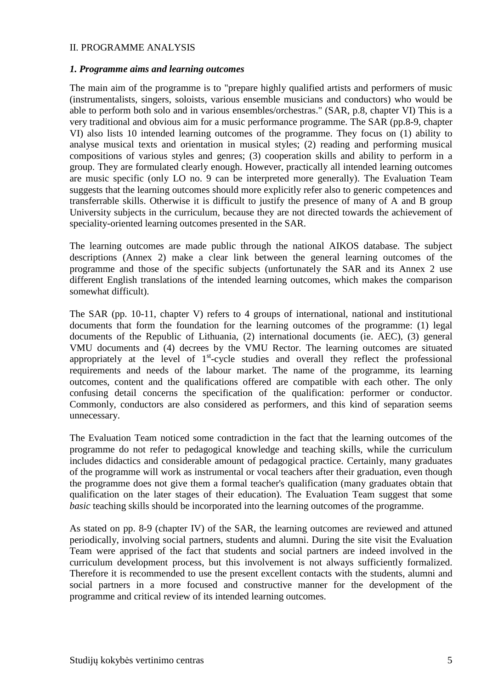#### II. PROGRAMME ANALYSIS

#### *1. Programme aims and learning outcomes*

The main aim of the programme is to "prepare highly qualified artists and performers of music (instrumentalists, singers, soloists, various ensemble musicians and conductors) who would be able to perform both solo and in various ensembles/orchestras." (SAR, p.8, chapter VI) This is a very traditional and obvious aim for a music performance programme. The SAR (pp.8-9, chapter VI) also lists 10 intended learning outcomes of the programme. They focus on (1) ability to analyse musical texts and orientation in musical styles; (2) reading and performing musical compositions of various styles and genres; (3) cooperation skills and ability to perform in a group. They are formulated clearly enough. However, practically all intended learning outcomes are music specific (only LO no. 9 can be interpreted more generally). The Evaluation Team suggests that the learning outcomes should more explicitly refer also to generic competences and transferrable skills. Otherwise it is difficult to justify the presence of many of A and B group University subjects in the curriculum, because they are not directed towards the achievement of speciality-oriented learning outcomes presented in the SAR.

The learning outcomes are made public through the national AIKOS database. The subject descriptions (Annex 2) make a clear link between the general learning outcomes of the programme and those of the specific subjects (unfortunately the SAR and its Annex 2 use different English translations of the intended learning outcomes, which makes the comparison somewhat difficult).

The SAR (pp. 10-11, chapter V) refers to 4 groups of international, national and institutional documents that form the foundation for the learning outcomes of the programme: (1) legal documents of the Republic of Lithuania, (2) international documents (ie. AEC), (3) general VMU documents and (4) decrees by the VMU Rector. The learning outcomes are situated appropriately at the level of  $1<sup>st</sup>$ -cycle studies and overall they reflect the professional requirements and needs of the labour market. The name of the programme, its learning outcomes, content and the qualifications offered are compatible with each other. The only confusing detail concerns the specification of the qualification: performer or conductor. Commonly, conductors are also considered as performers, and this kind of separation seems unnecessary.

The Evaluation Team noticed some contradiction in the fact that the learning outcomes of the programme do not refer to pedagogical knowledge and teaching skills, while the curriculum includes didactics and considerable amount of pedagogical practice. Certainly, many graduates of the programme will work as instrumental or vocal teachers after their graduation, even though the programme does not give them a formal teacher's qualification (many graduates obtain that qualification on the later stages of their education). The Evaluation Team suggest that some *basic* teaching skills should be incorporated into the learning outcomes of the programme.

As stated on pp. 8-9 (chapter IV) of the SAR, the learning outcomes are reviewed and attuned periodically, involving social partners, students and alumni. During the site visit the Evaluation Team were apprised of the fact that students and social partners are indeed involved in the curriculum development process, but this involvement is not always sufficiently formalized. Therefore it is recommended to use the present excellent contacts with the students, alumni and social partners in a more focused and constructive manner for the development of the programme and critical review of its intended learning outcomes.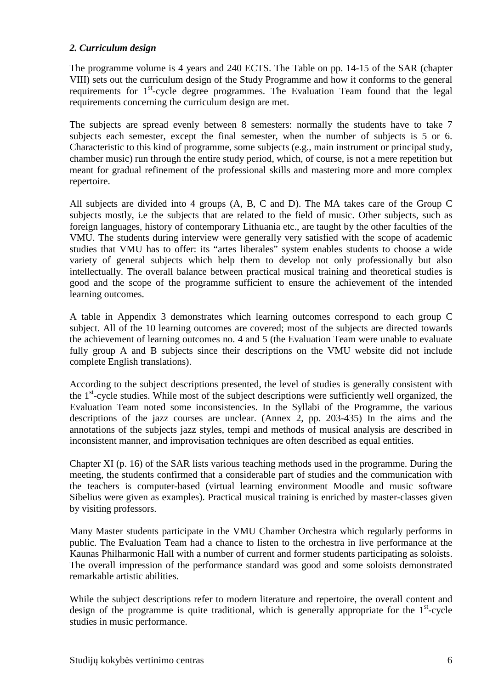#### *2. Curriculum design*

The programme volume is 4 years and 240 ECTS. The Table on pp. 14-15 of the SAR (chapter VIII) sets out the curriculum design of the Study Programme and how it conforms to the general requirements for  $1<sup>st</sup>$ -cycle degree programmes. The Evaluation Team found that the legal requirements concerning the curriculum design are met.

The subjects are spread evenly between 8 semesters: normally the students have to take 7 subjects each semester, except the final semester, when the number of subjects is 5 or 6. Characteristic to this kind of programme, some subjects (e.g., main instrument or principal study, chamber music) run through the entire study period, which, of course, is not a mere repetition but meant for gradual refinement of the professional skills and mastering more and more complex repertoire.

All subjects are divided into 4 groups (A, B, C and D). The MA takes care of the Group C subjects mostly, i.e the subjects that are related to the field of music. Other subjects, such as foreign languages, history of contemporary Lithuania etc., are taught by the other faculties of the VMU. The students during interview were generally very satisfied with the scope of academic studies that VMU has to offer: its "artes liberales" system enables students to choose a wide variety of general subjects which help them to develop not only professionally but also intellectually. The overall balance between practical musical training and theoretical studies is good and the scope of the programme sufficient to ensure the achievement of the intended learning outcomes.

A table in Appendix 3 demonstrates which learning outcomes correspond to each group C subject. All of the 10 learning outcomes are covered; most of the subjects are directed towards the achievement of learning outcomes no. 4 and 5 (the Evaluation Team were unable to evaluate fully group A and B subjects since their descriptions on the VMU website did not include complete English translations).

According to the subject descriptions presented, the level of studies is generally consistent with the  $1<sup>st</sup>$ -cycle studies. While most of the subject descriptions were sufficiently well organized, the Evaluation Team noted some inconsistencies. In the Syllabi of the Programme, the various descriptions of the jazz courses are unclear. (Annex 2, pp. 203-435) In the aims and the annotations of the subjects jazz styles, tempi and methods of musical analysis are described in inconsistent manner, and improvisation techniques are often described as equal entities.

Chapter XI (p. 16) of the SAR lists various teaching methods used in the programme. During the meeting, the students confirmed that a considerable part of studies and the communication with the teachers is computer-based (virtual learning environment Moodle and music software Sibelius were given as examples). Practical musical training is enriched by master-classes given by visiting professors.

Many Master students participate in the VMU Chamber Orchestra which regularly performs in public. The Evaluation Team had a chance to listen to the orchestra in live performance at the Kaunas Philharmonic Hall with a number of current and former students participating as soloists. The overall impression of the performance standard was good and some soloists demonstrated remarkable artistic abilities.

While the subject descriptions refer to modern literature and repertoire, the overall content and design of the programme is quite traditional, which is generally appropriate for the  $1<sup>st</sup>$ -cycle studies in music performance.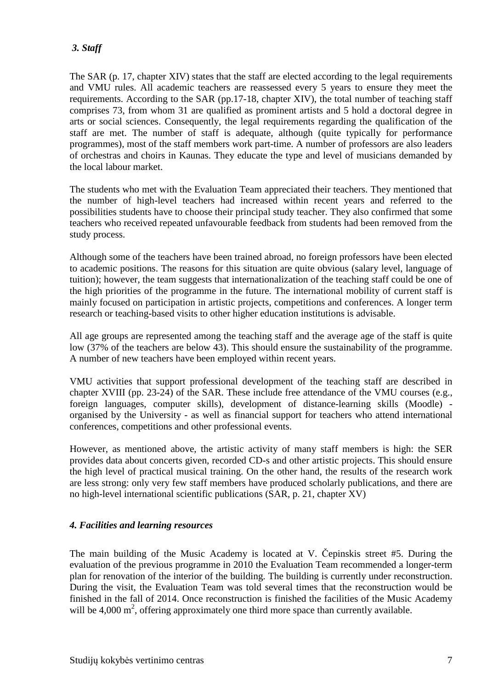#### *3. Staff*

The SAR (p. 17, chapter XIV) states that the staff are elected according to the legal requirements and VMU rules. All academic teachers are reassessed every 5 years to ensure they meet the requirements. According to the SAR (pp.17-18, chapter XIV), the total number of teaching staff comprises 73, from whom 31 are qualified as prominent artists and 5 hold a doctoral degree in arts or social sciences. Consequently, the legal requirements regarding the qualification of the staff are met. The number of staff is adequate, although (quite typically for performance programmes), most of the staff members work part-time. A number of professors are also leaders of orchestras and choirs in Kaunas. They educate the type and level of musicians demanded by the local labour market.

The students who met with the Evaluation Team appreciated their teachers. They mentioned that the number of high-level teachers had increased within recent years and referred to the possibilities students have to choose their principal study teacher. They also confirmed that some teachers who received repeated unfavourable feedback from students had been removed from the study process.

Although some of the teachers have been trained abroad, no foreign professors have been elected to academic positions. The reasons for this situation are quite obvious (salary level, language of tuition); however, the team suggests that internationalization of the teaching staff could be one of the high priorities of the programme in the future. The international mobility of current staff is mainly focused on participation in artistic projects, competitions and conferences. A longer term research or teaching-based visits to other higher education institutions is advisable.

All age groups are represented among the teaching staff and the average age of the staff is quite low (37% of the teachers are below 43). This should ensure the sustainability of the programme. A number of new teachers have been employed within recent years.

VMU activities that support professional development of the teaching staff are described in chapter XVIII (pp. 23-24) of the SAR. These include free attendance of the VMU courses (e.g., foreign languages, computer skills), development of distance-learning skills (Moodle) organised by the University - as well as financial support for teachers who attend international conferences, competitions and other professional events.

However, as mentioned above, the artistic activity of many staff members is high: the SER provides data about concerts given, recorded CD-s and other artistic projects. This should ensure the high level of practical musical training. On the other hand, the results of the research work are less strong: only very few staff members have produced scholarly publications, and there are no high-level international scientific publications (SAR, p. 21, chapter XV)

#### *4. Facilities and learning resources*

The main building of the Music Academy is located at V. Čepinskis street #5. During the evaluation of the previous programme in 2010 the Evaluation Team recommended a longer-term plan for renovation of the interior of the building. The building is currently under reconstruction. During the visit, the Evaluation Team was told several times that the reconstruction would be finished in the fall of 2014. Once reconstruction is finished the facilities of the Music Academy will be 4,000  $m^2$ , offering approximately one third more space than currently available.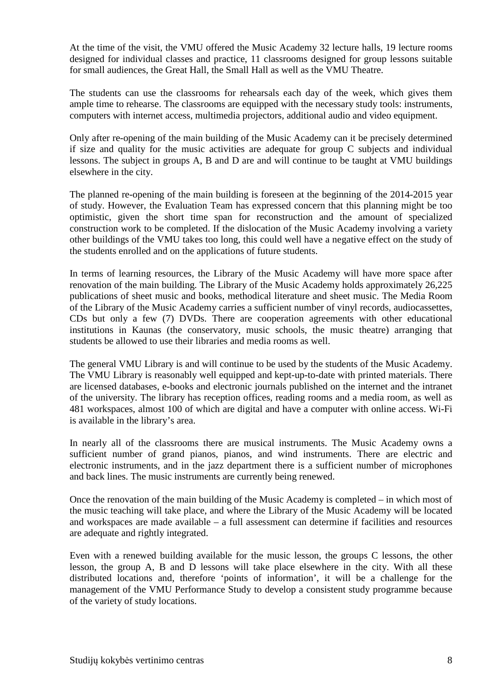At the time of the visit, the VMU offered the Music Academy 32 lecture halls, 19 lecture rooms designed for individual classes and practice, 11 classrooms designed for group lessons suitable for small audiences, the Great Hall, the Small Hall as well as the VMU Theatre.

The students can use the classrooms for rehearsals each day of the week, which gives them ample time to rehearse. The classrooms are equipped with the necessary study tools: instruments, computers with internet access, multimedia projectors, additional audio and video equipment.

Only after re-opening of the main building of the Music Academy can it be precisely determined if size and quality for the music activities are adequate for group C subjects and individual lessons. The subject in groups A, B and D are and will continue to be taught at VMU buildings elsewhere in the city.

The planned re-opening of the main building is foreseen at the beginning of the 2014-2015 year of study. However, the Evaluation Team has expressed concern that this planning might be too optimistic, given the short time span for reconstruction and the amount of specialized construction work to be completed. If the dislocation of the Music Academy involving a variety other buildings of the VMU takes too long, this could well have a negative effect on the study of the students enrolled and on the applications of future students.

In terms of learning resources, the Library of the Music Academy will have more space after renovation of the main building. The Library of the Music Academy holds approximately 26,225 publications of sheet music and books, methodical literature and sheet music. The Media Room of the Library of the Music Academy carries a sufficient number of vinyl records, audiocassettes, CDs but only a few (7) DVDs. There are cooperation agreements with other educational institutions in Kaunas (the conservatory, music schools, the music theatre) arranging that students be allowed to use their libraries and media rooms as well.

The general VMU Library is and will continue to be used by the students of the Music Academy. The VMU Library is reasonably well equipped and kept-up-to-date with printed materials. There are licensed databases, e-books and electronic journals published on the internet and the intranet of the university. The library has reception offices, reading rooms and a media room, as well as 481 workspaces, almost 100 of which are digital and have a computer with online access. Wi-Fi is available in the library's area.

In nearly all of the classrooms there are musical instruments. The Music Academy owns a sufficient number of grand pianos, pianos, and wind instruments. There are electric and electronic instruments, and in the jazz department there is a sufficient number of microphones and back lines. The music instruments are currently being renewed.

Once the renovation of the main building of the Music Academy is completed – in which most of the music teaching will take place, and where the Library of the Music Academy will be located and workspaces are made available – a full assessment can determine if facilities and resources are adequate and rightly integrated.

Even with a renewed building available for the music lesson, the groups C lessons, the other lesson, the group A, B and D lessons will take place elsewhere in the city. With all these distributed locations and, therefore 'points of information', it will be a challenge for the management of the VMU Performance Study to develop a consistent study programme because of the variety of study locations.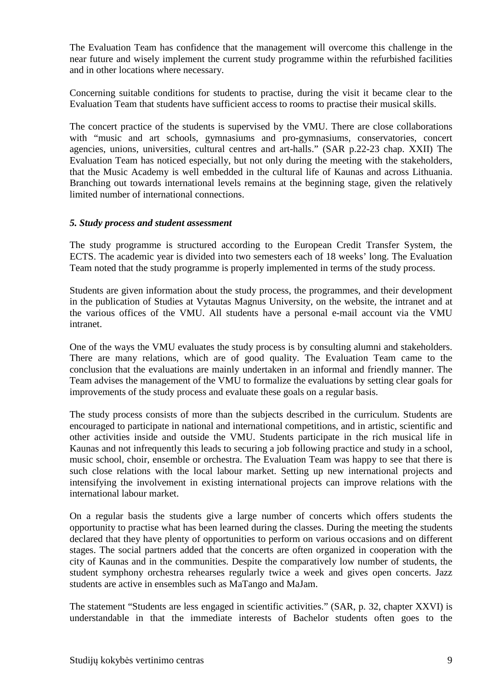The Evaluation Team has confidence that the management will overcome this challenge in the near future and wisely implement the current study programme within the refurbished facilities and in other locations where necessary.

Concerning suitable conditions for students to practise, during the visit it became clear to the Evaluation Team that students have sufficient access to rooms to practise their musical skills.

The concert practice of the students is supervised by the VMU. There are close collaborations with "music and art schools, gymnasiums and pro-gymnasiums, conservatories, concert agencies, unions, universities, cultural centres and art-halls." (SAR p.22-23 chap. XXII) The Evaluation Team has noticed especially, but not only during the meeting with the stakeholders, that the Music Academy is well embedded in the cultural life of Kaunas and across Lithuania. Branching out towards international levels remains at the beginning stage, given the relatively limited number of international connections.

#### *5. Study process and student assessment*

The study programme is structured according to the European Credit Transfer System, the ECTS. The academic year is divided into two semesters each of 18 weeks' long. The Evaluation Team noted that the study programme is properly implemented in terms of the study process.

Students are given information about the study process, the programmes, and their development in the publication of Studies at Vytautas Magnus University, on the website, the intranet and at the various offices of the VMU. All students have a personal e-mail account via the VMU intranet.

One of the ways the VMU evaluates the study process is by consulting alumni and stakeholders. There are many relations, which are of good quality. The Evaluation Team came to the conclusion that the evaluations are mainly undertaken in an informal and friendly manner. The Team advises the management of the VMU to formalize the evaluations by setting clear goals for improvements of the study process and evaluate these goals on a regular basis.

The study process consists of more than the subjects described in the curriculum. Students are encouraged to participate in national and international competitions, and in artistic, scientific and other activities inside and outside the VMU. Students participate in the rich musical life in Kaunas and not infrequently this leads to securing a job following practice and study in a school, music school, choir, ensemble or orchestra. The Evaluation Team was happy to see that there is such close relations with the local labour market. Setting up new international projects and intensifying the involvement in existing international projects can improve relations with the international labour market.

On a regular basis the students give a large number of concerts which offers students the opportunity to practise what has been learned during the classes. During the meeting the students declared that they have plenty of opportunities to perform on various occasions and on different stages. The social partners added that the concerts are often organized in cooperation with the city of Kaunas and in the communities. Despite the comparatively low number of students, the student symphony orchestra rehearses regularly twice a week and gives open concerts. Jazz students are active in ensembles such as MaTango and MaJam.

The statement "Students are less engaged in scientific activities." (SAR, p. 32, chapter XXVI) is understandable in that the immediate interests of Bachelor students often goes to the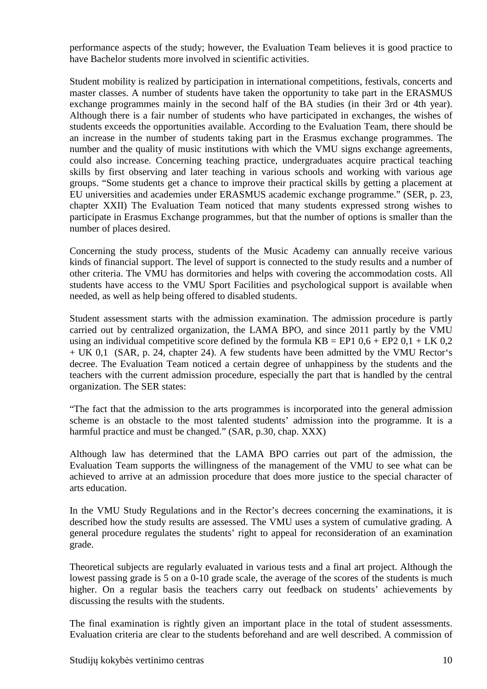performance aspects of the study; however, the Evaluation Team believes it is good practice to have Bachelor students more involved in scientific activities.

Student mobility is realized by participation in international competitions, festivals, concerts and master classes. A number of students have taken the opportunity to take part in the ERASMUS exchange programmes mainly in the second half of the BA studies (in their 3rd or 4th year). Although there is a fair number of students who have participated in exchanges, the wishes of students exceeds the opportunities available. According to the Evaluation Team, there should be an increase in the number of students taking part in the Erasmus exchange programmes. The number and the quality of music institutions with which the VMU signs exchange agreements, could also increase. Concerning teaching practice, undergraduates acquire practical teaching skills by first observing and later teaching in various schools and working with various age groups. "Some students get a chance to improve their practical skills by getting a placement at EU universities and academies under ERASMUS academic exchange programme." (SER, p. 23, chapter XXII) The Evaluation Team noticed that many students expressed strong wishes to participate in Erasmus Exchange programmes, but that the number of options is smaller than the number of places desired.

Concerning the study process, students of the Music Academy can annually receive various kinds of financial support. The level of support is connected to the study results and a number of other criteria. The VMU has dormitories and helps with covering the accommodation costs. All students have access to the VMU Sport Facilities and psychological support is available when needed, as well as help being offered to disabled students.

Student assessment starts with the admission examination. The admission procedure is partly carried out by centralized organization, the LAMA BPO, and since 2011 partly by the VMU using an individual competitive score defined by the formula  $KB = EP1\ 0.6 + EP2\ 0.1 + LK\ 0.2$ + UK 0,1 (SAR, p. 24, chapter 24). A few students have been admitted by the VMU Rector's decree. The Evaluation Team noticed a certain degree of unhappiness by the students and the teachers with the current admission procedure, especially the part that is handled by the central organization. The SER states:

"The fact that the admission to the arts programmes is incorporated into the general admission scheme is an obstacle to the most talented students' admission into the programme. It is a harmful practice and must be changed." (SAR, p.30, chap. XXX)

Although law has determined that the LAMA BPO carries out part of the admission, the Evaluation Team supports the willingness of the management of the VMU to see what can be achieved to arrive at an admission procedure that does more justice to the special character of arts education.

In the VMU Study Regulations and in the Rector's decrees concerning the examinations, it is described how the study results are assessed. The VMU uses a system of cumulative grading. A general procedure regulates the students' right to appeal for reconsideration of an examination grade.

Theoretical subjects are regularly evaluated in various tests and a final art project. Although the lowest passing grade is 5 on a 0-10 grade scale, the average of the scores of the students is much higher. On a regular basis the teachers carry out feedback on students' achievements by discussing the results with the students.

The final examination is rightly given an important place in the total of student assessments. Evaluation criteria are clear to the students beforehand and are well described. A commission of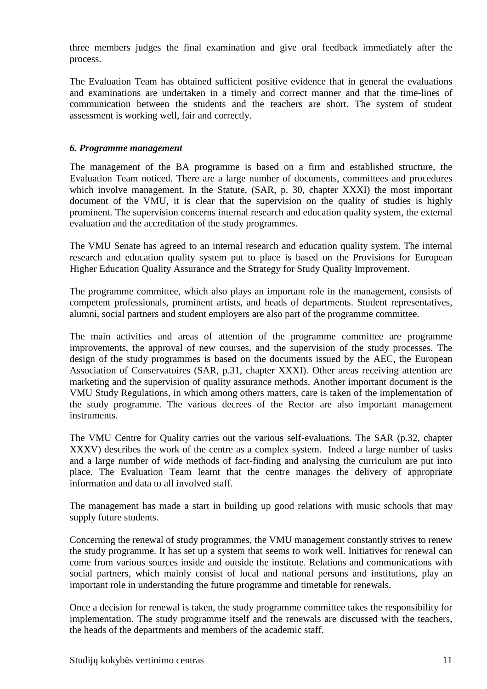three members judges the final examination and give oral feedback immediately after the process.

The Evaluation Team has obtained sufficient positive evidence that in general the evaluations and examinations are undertaken in a timely and correct manner and that the time-lines of communication between the students and the teachers are short. The system of student assessment is working well, fair and correctly.

#### *6. Programme management*

The management of the BA programme is based on a firm and established structure, the Evaluation Team noticed. There are a large number of documents, committees and procedures which involve management. In the Statute, (SAR, p. 30, chapter XXXI) the most important document of the VMU, it is clear that the supervision on the quality of studies is highly prominent. The supervision concerns internal research and education quality system, the external evaluation and the accreditation of the study programmes.

The VMU Senate has agreed to an internal research and education quality system. The internal research and education quality system put to place is based on the Provisions for European Higher Education Quality Assurance and the Strategy for Study Quality Improvement.

The programme committee, which also plays an important role in the management, consists of competent professionals, prominent artists, and heads of departments. Student representatives, alumni, social partners and student employers are also part of the programme committee.

The main activities and areas of attention of the programme committee are programme improvements, the approval of new courses, and the supervision of the study processes. The design of the study programmes is based on the documents issued by the AEC, the European Association of Conservatoires (SAR, p.31, chapter XXXI). Other areas receiving attention are marketing and the supervision of quality assurance methods. Another important document is the VMU Study Regulations, in which among others matters, care is taken of the implementation of the study programme. The various decrees of the Rector are also important management instruments.

The VMU Centre for Quality carries out the various self-evaluations. The SAR (p.32, chapter XXXV) describes the work of the centre as a complex system. Indeed a large number of tasks and a large number of wide methods of fact-finding and analysing the curriculum are put into place. The Evaluation Team learnt that the centre manages the delivery of appropriate information and data to all involved staff.

The management has made a start in building up good relations with music schools that may supply future students.

Concerning the renewal of study programmes, the VMU management constantly strives to renew the study programme. It has set up a system that seems to work well. Initiatives for renewal can come from various sources inside and outside the institute. Relations and communications with social partners, which mainly consist of local and national persons and institutions, play an important role in understanding the future programme and timetable for renewals.

Once a decision for renewal is taken, the study programme committee takes the responsibility for implementation. The study programme itself and the renewals are discussed with the teachers, the heads of the departments and members of the academic staff.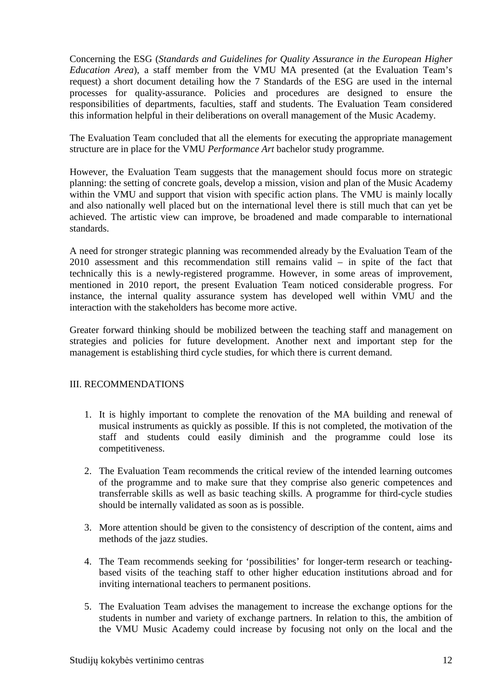Concerning the ESG (*Standards and Guidelines for Quality Assurance in the European Higher Education Area*), a staff member from the VMU MA presented (at the Evaluation Team's request) a short document detailing how the 7 Standards of the ESG are used in the internal processes for quality-assurance. Policies and procedures are designed to ensure the responsibilities of departments, faculties, staff and students. The Evaluation Team considered this information helpful in their deliberations on overall management of the Music Academy.

The Evaluation Team concluded that all the elements for executing the appropriate management structure are in place for the VMU *Performance Art* bachelor study programme*.* 

However, the Evaluation Team suggests that the management should focus more on strategic planning: the setting of concrete goals, develop a mission, vision and plan of the Music Academy within the VMU and support that vision with specific action plans. The VMU is mainly locally and also nationally well placed but on the international level there is still much that can yet be achieved. The artistic view can improve, be broadened and made comparable to international standards.

A need for stronger strategic planning was recommended already by the Evaluation Team of the 2010 assessment and this recommendation still remains valid – in spite of the fact that technically this is a newly-registered programme. However, in some areas of improvement, mentioned in 2010 report, the present Evaluation Team noticed considerable progress. For instance, the internal quality assurance system has developed well within VMU and the interaction with the stakeholders has become more active.

Greater forward thinking should be mobilized between the teaching staff and management on strategies and policies for future development. Another next and important step for the management is establishing third cycle studies, for which there is current demand.

#### III. RECOMMENDATIONS

- 1. It is highly important to complete the renovation of the MA building and renewal of musical instruments as quickly as possible. If this is not completed, the motivation of the staff and students could easily diminish and the programme could lose its competitiveness.
- 2. The Evaluation Team recommends the critical review of the intended learning outcomes of the programme and to make sure that they comprise also generic competences and transferrable skills as well as basic teaching skills. A programme for third-cycle studies should be internally validated as soon as is possible.
- 3. More attention should be given to the consistency of description of the content, aims and methods of the jazz studies.
- 4. The Team recommends seeking for 'possibilities' for longer-term research or teachingbased visits of the teaching staff to other higher education institutions abroad and for inviting international teachers to permanent positions.
- 5. The Evaluation Team advises the management to increase the exchange options for the students in number and variety of exchange partners. In relation to this, the ambition of the VMU Music Academy could increase by focusing not only on the local and the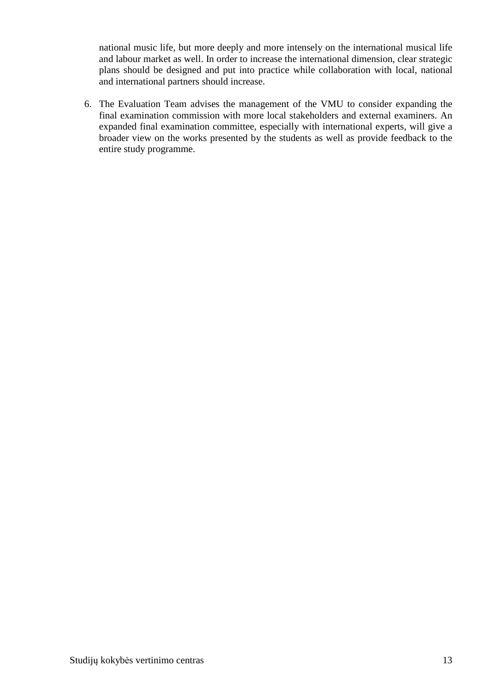national music life, but more deeply and more intensely on the international musical life and labour market as well. In order to increase the international dimension, clear strategic plans should be designed and put into practice while collaboration with local, national and international partners should increase.

6. The Evaluation Team advises the management of the VMU to consider expanding the final examination commission with more local stakeholders and external examiners. An expanded final examination committee, especially with international experts, will give a broader view on the works presented by the students as well as provide feedback to the entire study programme.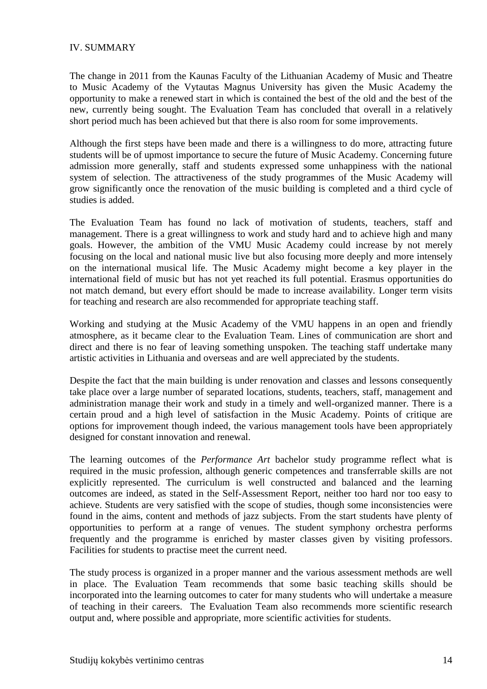#### IV. SUMMARY

The change in 2011 from the Kaunas Faculty of the Lithuanian Academy of Music and Theatre to Music Academy of the Vytautas Magnus University has given the Music Academy the opportunity to make a renewed start in which is contained the best of the old and the best of the new, currently being sought. The Evaluation Team has concluded that overall in a relatively short period much has been achieved but that there is also room for some improvements.

Although the first steps have been made and there is a willingness to do more, attracting future students will be of upmost importance to secure the future of Music Academy. Concerning future admission more generally, staff and students expressed some unhappiness with the national system of selection. The attractiveness of the study programmes of the Music Academy will grow significantly once the renovation of the music building is completed and a third cycle of studies is added.

The Evaluation Team has found no lack of motivation of students, teachers, staff and management. There is a great willingness to work and study hard and to achieve high and many goals. However, the ambition of the VMU Music Academy could increase by not merely focusing on the local and national music live but also focusing more deeply and more intensely on the international musical life. The Music Academy might become a key player in the international field of music but has not yet reached its full potential. Erasmus opportunities do not match demand, but every effort should be made to increase availability. Longer term visits for teaching and research are also recommended for appropriate teaching staff.

Working and studying at the Music Academy of the VMU happens in an open and friendly atmosphere, as it became clear to the Evaluation Team. Lines of communication are short and direct and there is no fear of leaving something unspoken. The teaching staff undertake many artistic activities in Lithuania and overseas and are well appreciated by the students.

Despite the fact that the main building is under renovation and classes and lessons consequently take place over a large number of separated locations, students, teachers, staff, management and administration manage their work and study in a timely and well-organized manner. There is a certain proud and a high level of satisfaction in the Music Academy. Points of critique are options for improvement though indeed, the various management tools have been appropriately designed for constant innovation and renewal.

The learning outcomes of the *Performance Art* bachelor study programme reflect what is required in the music profession, although generic competences and transferrable skills are not explicitly represented. The curriculum is well constructed and balanced and the learning outcomes are indeed, as stated in the Self-Assessment Report, neither too hard nor too easy to achieve. Students are very satisfied with the scope of studies, though some inconsistencies were found in the aims, content and methods of jazz subjects. From the start students have plenty of opportunities to perform at a range of venues. The student symphony orchestra performs frequently and the programme is enriched by master classes given by visiting professors. Facilities for students to practise meet the current need.

The study process is organized in a proper manner and the various assessment methods are well in place. The Evaluation Team recommends that some basic teaching skills should be incorporated into the learning outcomes to cater for many students who will undertake a measure of teaching in their careers. The Evaluation Team also recommends more scientific research output and, where possible and appropriate, more scientific activities for students.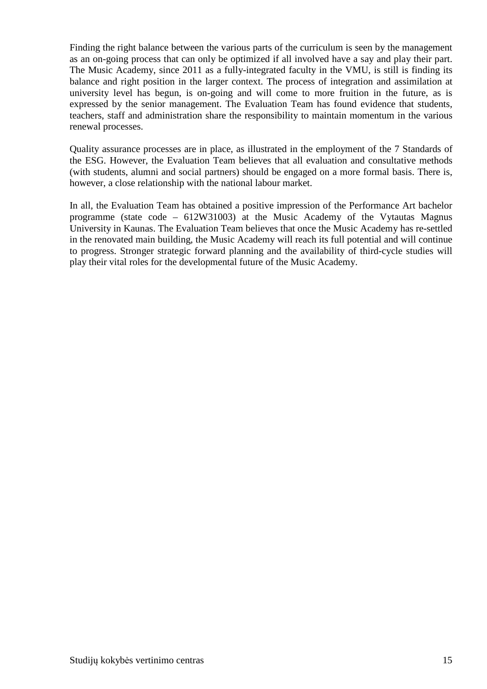Finding the right balance between the various parts of the curriculum is seen by the management as an on-going process that can only be optimized if all involved have a say and play their part. The Music Academy, since 2011 as a fully-integrated faculty in the VMU, is still is finding its balance and right position in the larger context. The process of integration and assimilation at university level has begun, is on-going and will come to more fruition in the future, as is expressed by the senior management. The Evaluation Team has found evidence that students, teachers, staff and administration share the responsibility to maintain momentum in the various renewal processes.

Quality assurance processes are in place, as illustrated in the employment of the 7 Standards of the ESG. However, the Evaluation Team believes that all evaluation and consultative methods (with students, alumni and social partners) should be engaged on a more formal basis. There is, however, a close relationship with the national labour market.

In all, the Evaluation Team has obtained a positive impression of the Performance Art bachelor programme (state code – 612W31003) at the Music Academy of the Vytautas Magnus University in Kaunas. The Evaluation Team believes that once the Music Academy has re-settled in the renovated main building, the Music Academy will reach its full potential and will continue to progress. Stronger strategic forward planning and the availability of third-cycle studies will play their vital roles for the developmental future of the Music Academy.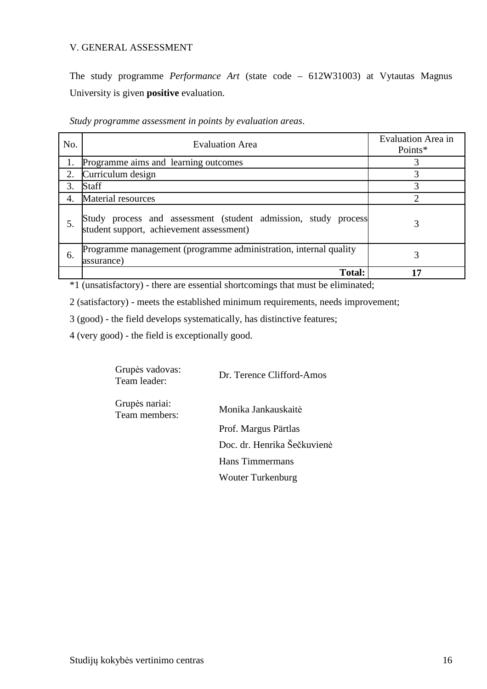#### V. GENERAL ASSESSMENT

The study programme *Performance Art* (state code – 612W31003) at Vytautas Magnus University is given **positive** evaluation.

*Study programme assessment in points by evaluation areas*.

| No. | <b>Evaluation Area</b>                                                                                     | Evaluation Area in<br>Points* |
|-----|------------------------------------------------------------------------------------------------------------|-------------------------------|
|     | Programme aims and learning outcomes                                                                       |                               |
| 2.  | Curriculum design                                                                                          | 3                             |
| 3.  | <b>Staff</b>                                                                                               |                               |
| 4.  | Material resources                                                                                         |                               |
|     | Study process and assessment (student admission, study process<br>student support, achievement assessment) |                               |
| 6.  | Programme management (programme administration, internal quality<br>assurance)                             |                               |
|     | <b>Total:</b>                                                                                              | 17                            |

\*1 (unsatisfactory) - there are essential shortcomings that must be eliminated;

2 (satisfactory) - meets the established minimum requirements, needs improvement;

3 (good) - the field develops systematically, has distinctive features;

4 (very good) - the field is exceptionally good.

| Grupės vadovas:<br>Team leader: | Dr. Terence Clifford-Amos   |
|---------------------------------|-----------------------------|
| Grupės nariai:<br>Team members: | Monika Jankauskaitė         |
|                                 | Prof. Margus Pärtlas        |
|                                 | Doc. dr. Henrika Šečkuvienė |
|                                 | Hans Timmermans             |
|                                 | <b>Wouter Turkenburg</b>    |
|                                 |                             |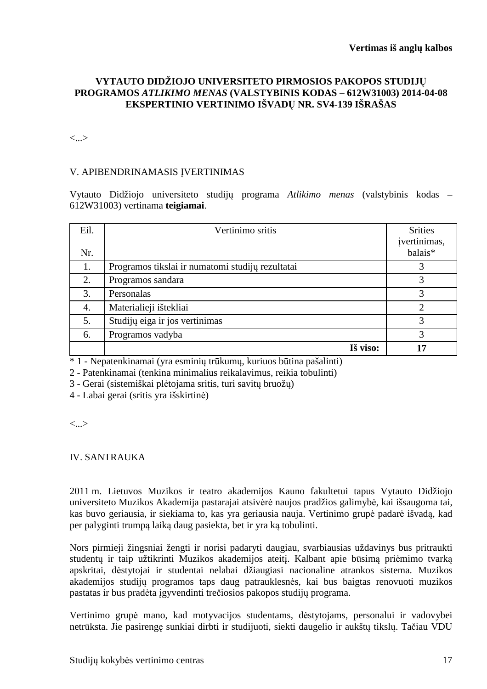#### **VYTAUTO DIDŽIOJO UNIVERSITETO PIRMOSIOS PAKOPOS STUDIJŲ PROGRAMOS** *ATLIKIMO MENAS* **(VALSTYBINIS KODAS – 612W31003) 2014-04-08 EKSPERTINIO VERTINIMO IŠVADŲ NR. SV4-139 IŠRAŠAS**

<...>

#### V. APIBENDRINAMASIS ĮVERTINIMAS

Vytauto Didžiojo universiteto studijų programa *Atlikimo menas* (valstybinis kodas – 612W31003) vertinama **teigiamai**.

| Eil.<br>Nr. | Vertinimo sritis                                 | <b>Srities</b><br>jvertinimas,<br>balais* |
|-------------|--------------------------------------------------|-------------------------------------------|
| 1.          | Programos tikslai ir numatomi studijų rezultatai | 3                                         |
| 2.          | Programos sandara                                | 3                                         |
| 3.          | Personalas                                       | 3                                         |
| 4.          | Materialieji ištekliai                           | っ                                         |
| 5.          | Studijų eiga ir jos vertinimas                   | 3                                         |
| 6.          | Programos vadyba                                 | 3                                         |
|             | Iš viso:                                         | 17                                        |

\* 1 - Nepatenkinamai (yra esminių trūkumų, kuriuos būtina pašalinti)

2 - Patenkinamai (tenkina minimalius reikalavimus, reikia tobulinti)

3 - Gerai (sistemiškai plėtojama sritis, turi savitų bruožų)

4 - Labai gerai (sritis yra išskirtinė)

<...>

#### IV. SANTRAUKA

2011 m. Lietuvos Muzikos ir teatro akademijos Kauno fakultetui tapus Vytauto Didžiojo universiteto Muzikos Akademija pastarajai atsivėrė naujos pradžios galimybė, kai išsaugoma tai, kas buvo geriausia, ir siekiama to, kas yra geriausia nauja. Vertinimo grupė padarė išvadą, kad per palyginti trumpą laiką daug pasiekta, bet ir yra ką tobulinti.

Nors pirmieji žingsniai žengti ir norisi padaryti daugiau, svarbiausias uždavinys bus pritraukti studentų ir taip užtikrinti Muzikos akademijos ateitį. Kalbant apie būsimą priėmimo tvarką apskritai, dėstytojai ir studentai nelabai džiaugiasi nacionaline atrankos sistema. Muzikos akademijos studijų programos taps daug patrauklesnės, kai bus baigtas renovuoti muzikos pastatas ir bus pradėta įgyvendinti trečiosios pakopos studijų programa.

Vertinimo grupė mano, kad motyvacijos studentams, dėstytojams, personalui ir vadovybei netrūksta. Jie pasirengę sunkiai dirbti ir studijuoti, siekti daugelio ir aukštų tikslų. Tačiau VDU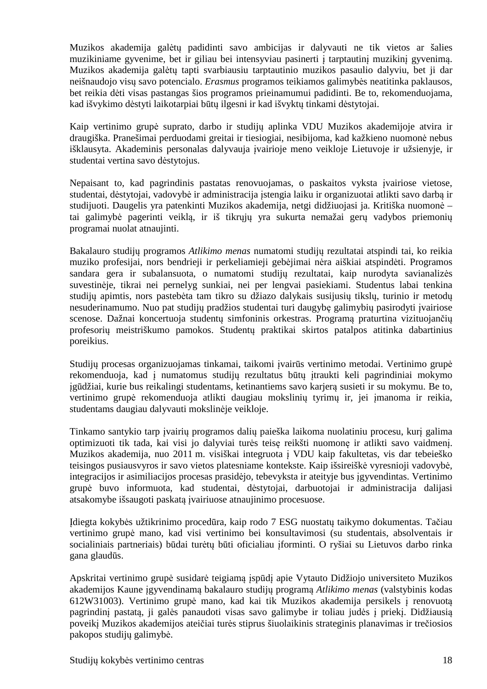Muzikos akademija galėtų padidinti savo ambicijas ir dalyvauti ne tik vietos ar šalies muzikiniame gyvenime, bet ir giliau bei intensyviau pasinerti į tarptautinį muzikinį gyvenimą. Muzikos akademija galėtų tapti svarbiausiu tarptautinio muzikos pasaulio dalyviu, bet ji dar neišnaudojo visų savo potencialo. *Erasmus* programos teikiamos galimybės neatitinka paklausos, bet reikia dėti visas pastangas šios programos prieinamumui padidinti. Be to, rekomenduojama, kad išvykimo dėstyti laikotarpiai būtų ilgesni ir kad išvyktų tinkami dėstytojai.

Kaip vertinimo grupė suprato, darbo ir studijų aplinka VDU Muzikos akademijoje atvira ir draugiška. Pranešimai perduodami greitai ir tiesiogiai, nesibijoma, kad kažkieno nuomonė nebus išklausyta. Akademinis personalas dalyvauja įvairioje meno veikloje Lietuvoje ir užsienyje, ir studentai vertina savo dėstytojus.

Nepaisant to, kad pagrindinis pastatas renovuojamas, o paskaitos vyksta įvairiose vietose, studentai, dėstytojai, vadovybė ir administracija įstengia laiku ir organizuotai atlikti savo darbą ir studijuoti. Daugelis yra patenkinti Muzikos akademija, netgi didžiuojasi ja. Kritiška nuomonė – tai galimybė pagerinti veiklą, ir iš tikrųjų yra sukurta nemažai gerų vadybos priemonių programai nuolat atnaujinti.

Bakalauro studijų programos *Atlikimo menas* numatomi studijų rezultatai atspindi tai, ko reikia muziko profesijai, nors bendrieji ir perkeliamieji gebėjimai nėra aiškiai atspindėti. Programos sandara gera ir subalansuota, o numatomi studijų rezultatai, kaip nurodyta savianalizės suvestinėje, tikrai nei pernelyg sunkiai, nei per lengvai pasiekiami. Studentus labai tenkina studijų apimtis, nors pastebėta tam tikro su džiazo dalykais susijusių tikslų, turinio ir metodų nesuderinamumo. Nuo pat studijų pradžios studentai turi daugybę galimybių pasirodyti įvairiose scenose. Dažnai koncertuoja studentų simfoninis orkestras. Programą praturtina vizituojančių profesorių meistriškumo pamokos. Studentų praktikai skirtos patalpos atitinka dabartinius poreikius.

Studijų procesas organizuojamas tinkamai, taikomi įvairūs vertinimo metodai. Vertinimo grupė rekomenduoja, kad į numatomus studijų rezultatus būtų įtraukti keli pagrindiniai mokymo įgūdžiai, kurie bus reikalingi studentams, ketinantiems savo karjerą susieti ir su mokymu. Be to, vertinimo grupė rekomenduoja atlikti daugiau mokslinių tyrimų ir, jei įmanoma ir reikia, studentams daugiau dalyvauti mokslinėje veikloje.

Tinkamo santykio tarp įvairių programos dalių paieška laikoma nuolatiniu procesu, kurį galima optimizuoti tik tada, kai visi jo dalyviai turės teisę reikšti nuomonę ir atlikti savo vaidmenį. Muzikos akademija, nuo 2011 m. visiškai integruota į VDU kaip fakultetas, vis dar tebeieško teisingos pusiausvyros ir savo vietos platesniame kontekste. Kaip išsireiškė vyresnioji vadovybė, integracijos ir asimiliacijos procesas prasidėjo, tebevyksta ir ateityje bus įgyvendintas. Vertinimo grupė buvo informuota, kad studentai, dėstytojai, darbuotojai ir administracija dalijasi atsakomybe išsaugoti paskatą įvairiuose atnaujinimo procesuose.

Įdiegta kokybės užtikrinimo procedūra, kaip rodo 7 ESG nuostatų taikymo dokumentas. Tačiau vertinimo grupė mano, kad visi vertinimo bei konsultavimosi (su studentais, absolventais ir socialiniais partneriais) būdai turėtų būti oficialiau įforminti. O ryšiai su Lietuvos darbo rinka gana glaudūs.

Apskritai vertinimo grupė susidarė teigiamą įspūdį apie Vytauto Didžiojo universiteto Muzikos akademijos Kaune įgyvendinamą bakalauro studijų programą *Atlikimo menas* (valstybinis kodas 612W31003). Vertinimo grupė mano, kad kai tik Muzikos akademija persikels į renovuotą pagrindinį pastatą, ji galės panaudoti visas savo galimybe ir toliau judės į priekį. Didžiausią poveikį Muzikos akademijos ateičiai turės stiprus šiuolaikinis strateginis planavimas ir trečiosios pakopos studijų galimybė.